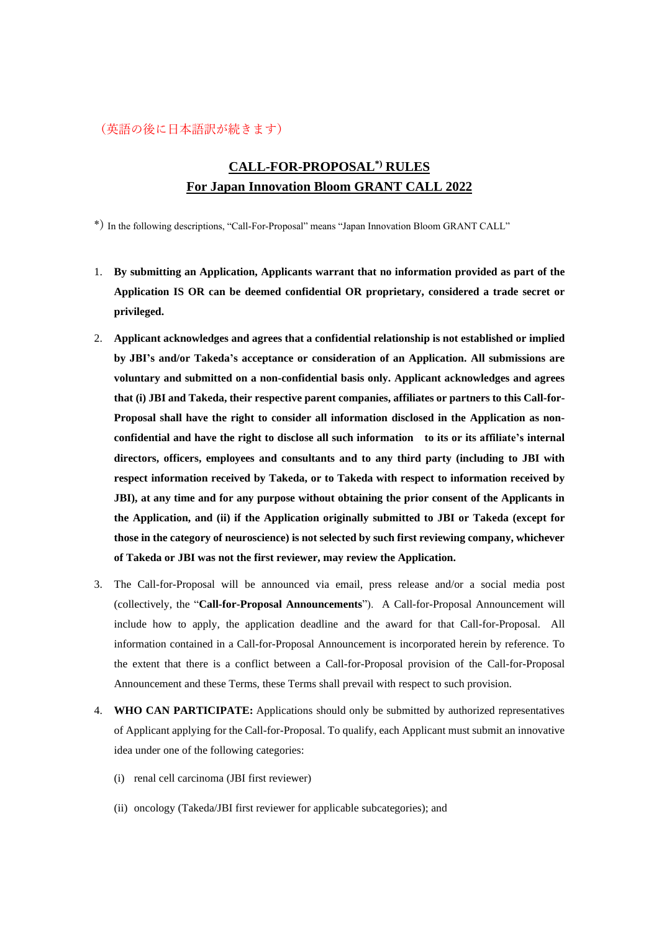## (英語の後に日本語訳が続きます)

# **CALL-FOR-PROPOSAL\*) RULES For Japan Innovation Bloom GRANT CALL 2022**

\*) In the following descriptions, "Call-For-Proposal" means "Japan Innovation Bloom GRANT CALL"

- 1. **By submitting an Application, Applicants warrant that no information provided as part of the Application IS OR can be deemed confidential OR proprietary, considered a trade secret or privileged.**
- 2. **Applicant acknowledges and agrees that a confidential relationship is not established or implied by JBI's and/or Takeda's acceptance or consideration of an Application. All submissions are voluntary and submitted on a non-confidential basis only. Applicant acknowledges and agrees that (i) JBI and Takeda, their respective parent companies, affiliates or partners to this Call-for-Proposal shall have the right to consider all information disclosed in the Application as nonconfidential and have the right to disclose all such information to its or its affiliate's internal directors, officers, employees and consultants and to any third party (including to JBI with respect information received by Takeda, or to Takeda with respect to information received by JBI), at any time and for any purpose without obtaining the prior consent of the Applicants in the Application, and (ii) if the Application originally submitted to JBI or Takeda (except for those in the category of neuroscience) is not selected by such first reviewing company, whichever of Takeda or JBI was not the first reviewer, may review the Application.**
- 3. The Call-for-Proposal will be announced via email, press release and/or a social media post (collectively, the "**Call-for-Proposal Announcements**"). A Call-for-Proposal Announcement will include how to apply, the application deadline and the award for that Call-for-Proposal. All information contained in a Call-for-Proposal Announcement is incorporated herein by reference. To the extent that there is a conflict between a Call-for-Proposal provision of the Call-for-Proposal Announcement and these Terms, these Terms shall prevail with respect to such provision.
- 4. **WHO CAN PARTICIPATE:** Applications should only be submitted by authorized representatives of Applicant applying for the Call-for-Proposal. To qualify, each Applicant must submit an innovative idea under one of the following categories:
	- (i) renal cell carcinoma (JBI first reviewer)
	- (ii) oncology (Takeda/JBI first reviewer for applicable subcategories); and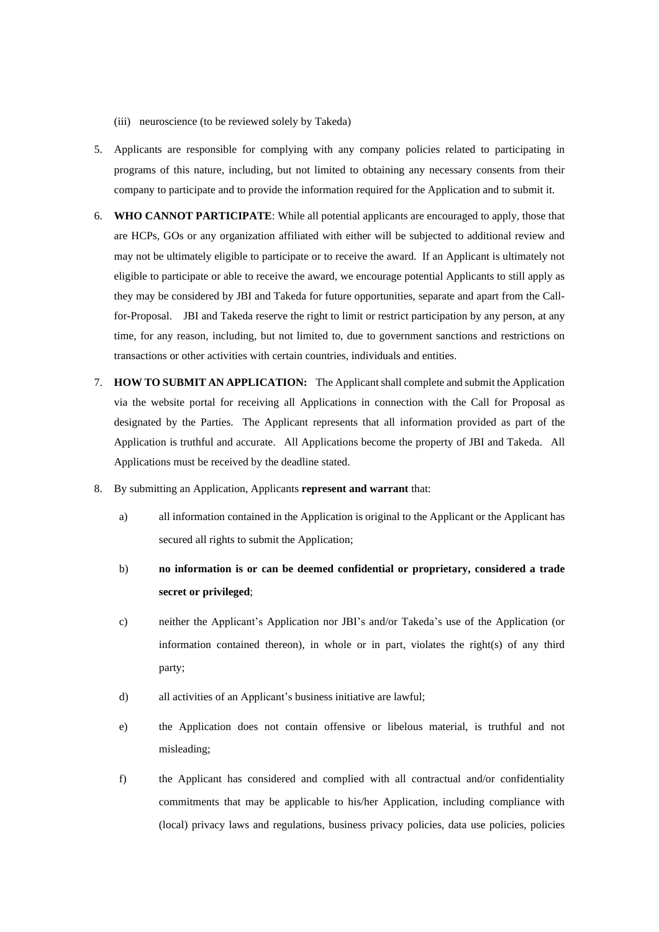- (iii) neuroscience (to be reviewed solely by Takeda)
- 5. Applicants are responsible for complying with any company policies related to participating in programs of this nature, including, but not limited to obtaining any necessary consents from their company to participate and to provide the information required for the Application and to submit it.
- 6. **WHO CANNOT PARTICIPATE**: While all potential applicants are encouraged to apply, those that are HCPs, GOs or any organization affiliated with either will be subjected to additional review and may not be ultimately eligible to participate or to receive the award. If an Applicant is ultimately not eligible to participate or able to receive the award, we encourage potential Applicants to still apply as they may be considered by JBI and Takeda for future opportunities, separate and apart from the Callfor-Proposal. JBI and Takeda reserve the right to limit or restrict participation by any person, at any time, for any reason, including, but not limited to, due to government sanctions and restrictions on transactions or other activities with certain countries, individuals and entities.
- 7. **HOW TO SUBMIT AN APPLICATION:** The Applicantshall complete and submit the Application via the website portal for receiving all Applications in connection with the Call for Proposal as designated by the Parties. The Applicant represents that all information provided as part of the Application is truthful and accurate. All Applications become the property of JBI and Takeda. All Applications must be received by the deadline stated.
- 8. By submitting an Application, Applicants **represent and warrant** that:
	- a) all information contained in the Application is original to the Applicant or the Applicant has secured all rights to submit the Application;
	- b) **no information is or can be deemed confidential or proprietary, considered a trade secret or privileged**;
	- c) neither the Applicant's Application nor JBI's and/or Takeda's use of the Application (or information contained thereon), in whole or in part, violates the right(s) of any third party;
	- d) all activities of an Applicant's business initiative are lawful;
	- e) the Application does not contain offensive or libelous material, is truthful and not misleading;
	- f) the Applicant has considered and complied with all contractual and/or confidentiality commitments that may be applicable to his/her Application, including compliance with (local) privacy laws and regulations, business privacy policies, data use policies, policies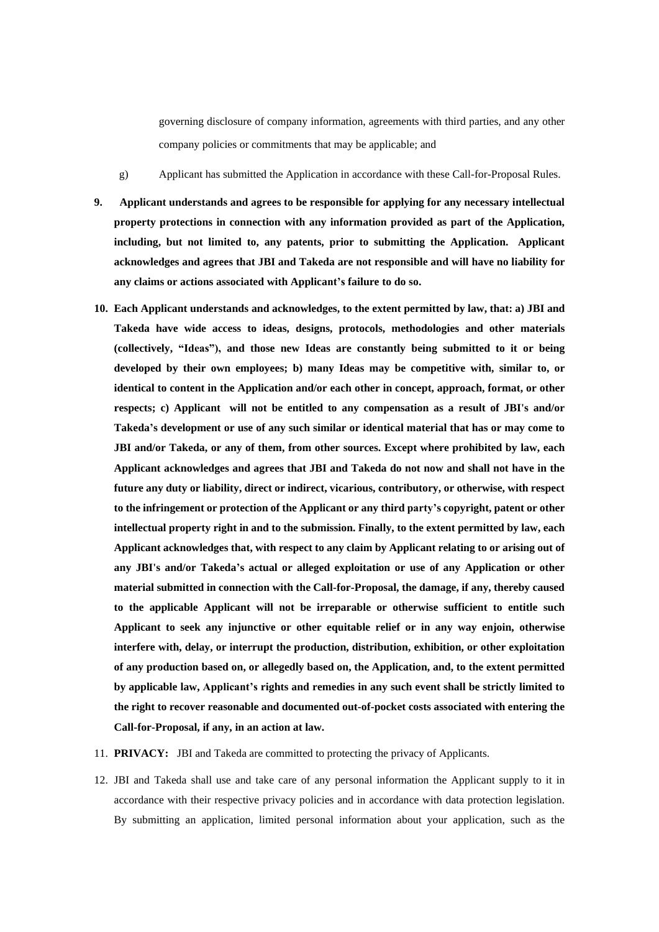governing disclosure of company information, agreements with third parties, and any other company policies or commitments that may be applicable; and

- g) Applicant has submitted the Application in accordance with these Call-for-Proposal Rules.
- **9. Applicant understands and agrees to be responsible for applying for any necessary intellectual property protections in connection with any information provided as part of the Application, including, but not limited to, any patents, prior to submitting the Application. Applicant acknowledges and agrees that JBI and Takeda are not responsible and will have no liability for any claims or actions associated with Applicant's failure to do so.**
- **10. Each Applicant understands and acknowledges, to the extent permitted by law, that: a) JBI and Takeda have wide access to ideas, designs, protocols, methodologies and other materials (collectively, "Ideas"), and those new Ideas are constantly being submitted to it or being developed by their own employees; b) many Ideas may be competitive with, similar to, or identical to content in the Application and/or each other in concept, approach, format, or other respects; c) Applicant will not be entitled to any compensation as a result of JBI's and/or Takeda's development or use of any such similar or identical material that has or may come to JBI and/or Takeda, or any of them, from other sources. Except where prohibited by law, each Applicant acknowledges and agrees that JBI and Takeda do not now and shall not have in the future any duty or liability, direct or indirect, vicarious, contributory, or otherwise, with respect to the infringement or protection of the Applicant or any third party's copyright, patent or other intellectual property right in and to the submission. Finally, to the extent permitted by law, each Applicant acknowledges that, with respect to any claim by Applicant relating to or arising out of any JBI's and/or Takeda's actual or alleged exploitation or use of any Application or other material submitted in connection with the Call-for-Proposal, the damage, if any, thereby caused to the applicable Applicant will not be irreparable or otherwise sufficient to entitle such Applicant to seek any injunctive or other equitable relief or in any way enjoin, otherwise interfere with, delay, or interrupt the production, distribution, exhibition, or other exploitation of any production based on, or allegedly based on, the Application, and, to the extent permitted by applicable law, Applicant's rights and remedies in any such event shall be strictly limited to the right to recover reasonable and documented out-of-pocket costs associated with entering the Call-for-Proposal, if any, in an action at law.**
- 11. **PRIVACY:** JBI and Takeda are committed to protecting the privacy of Applicants.
- 12. JBI and Takeda shall use and take care of any personal information the Applicant supply to it in accordance with their respective privacy policies and in accordance with data protection legislation. By submitting an application, limited personal information about your application, such as the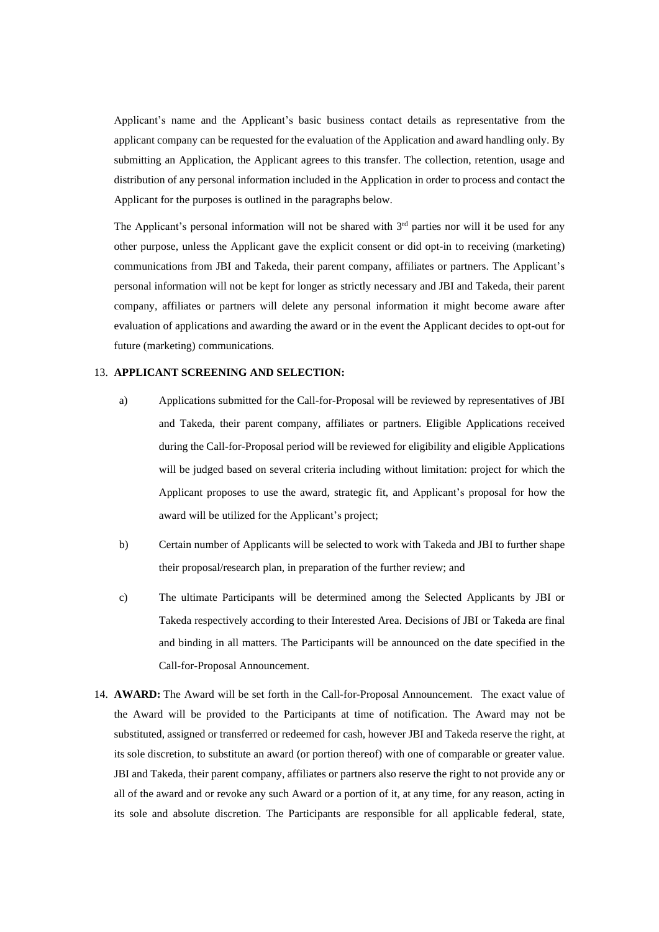Applicant's name and the Applicant's basic business contact details as representative from the applicant company can be requested for the evaluation of the Application and award handling only. By submitting an Application, the Applicant agrees to this transfer. The collection, retention, usage and distribution of any personal information included in the Application in order to process and contact the Applicant for the purposes is outlined in the paragraphs below.

The Applicant's personal information will not be shared with  $3<sup>rd</sup>$  parties nor will it be used for any other purpose, unless the Applicant gave the explicit consent or did opt-in to receiving (marketing) communications from JBI and Takeda, their parent company, affiliates or partners. The Applicant's personal information will not be kept for longer as strictly necessary and JBI and Takeda, their parent company, affiliates or partners will delete any personal information it might become aware after evaluation of applications and awarding the award or in the event the Applicant decides to opt-out for future (marketing) communications.

### 13. **APPLICANT SCREENING AND SELECTION:**

- a) Applications submitted for the Call-for-Proposal will be reviewed by representatives of JBI and Takeda, their parent company, affiliates or partners. Eligible Applications received during the Call-for-Proposal period will be reviewed for eligibility and eligible Applications will be judged based on several criteria including without limitation: project for which the Applicant proposes to use the award, strategic fit, and Applicant's proposal for how the award will be utilized for the Applicant's project;
- b) Certain number of Applicants will be selected to work with Takeda and JBI to further shape their proposal/research plan, in preparation of the further review; and
- c) The ultimate Participants will be determined among the Selected Applicants by JBI or Takeda respectively according to their Interested Area. Decisions of JBI or Takeda are final and binding in all matters. The Participants will be announced on the date specified in the Call-for-Proposal Announcement.
- 14. **AWARD:** The Award will be set forth in the Call-for-Proposal Announcement. The exact value of the Award will be provided to the Participants at time of notification. The Award may not be substituted, assigned or transferred or redeemed for cash, however JBI and Takeda reserve the right, at its sole discretion, to substitute an award (or portion thereof) with one of comparable or greater value. JBI and Takeda, their parent company, affiliates or partners also reserve the right to not provide any or all of the award and or revoke any such Award or a portion of it, at any time, for any reason, acting in its sole and absolute discretion. The Participants are responsible for all applicable federal, state,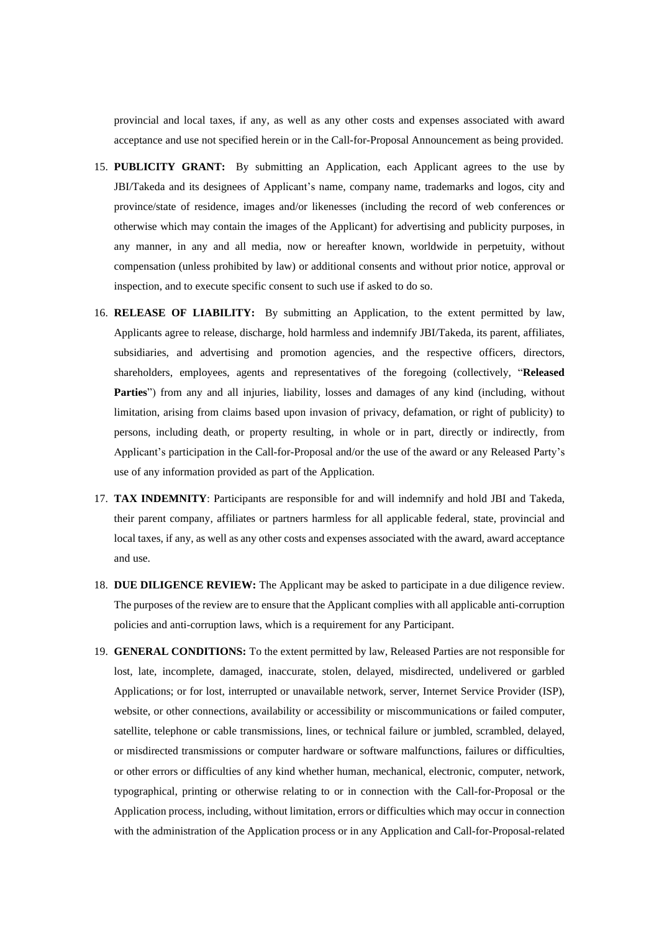provincial and local taxes, if any, as well as any other costs and expenses associated with award acceptance and use not specified herein or in the Call-for-Proposal Announcement as being provided.

- 15. **PUBLICITY GRANT:** By submitting an Application, each Applicant agrees to the use by JBI/Takeda and its designees of Applicant's name, company name, trademarks and logos, city and province/state of residence, images and/or likenesses (including the record of web conferences or otherwise which may contain the images of the Applicant) for advertising and publicity purposes, in any manner, in any and all media, now or hereafter known, worldwide in perpetuity, without compensation (unless prohibited by law) or additional consents and without prior notice, approval or inspection, and to execute specific consent to such use if asked to do so.
- 16. **RELEASE OF LIABILITY:** By submitting an Application, to the extent permitted by law, Applicants agree to release, discharge, hold harmless and indemnify JBI/Takeda, its parent, affiliates, subsidiaries, and advertising and promotion agencies, and the respective officers, directors, shareholders, employees, agents and representatives of the foregoing (collectively, "**Released Parties**") from any and all injuries, liability, losses and damages of any kind (including, without limitation, arising from claims based upon invasion of privacy, defamation, or right of publicity) to persons, including death, or property resulting, in whole or in part, directly or indirectly, from Applicant's participation in the Call-for-Proposal and/or the use of the award or any Released Party's use of any information provided as part of the Application.
- 17. **TAX INDEMNITY**: Participants are responsible for and will indemnify and hold JBI and Takeda, their parent company, affiliates or partners harmless for all applicable federal, state, provincial and local taxes, if any, as well as any other costs and expenses associated with the award, award acceptance and use.
- 18. **DUE DILIGENCE REVIEW:** The Applicant may be asked to participate in a due diligence review. The purposes of the review are to ensure that the Applicant complies with all applicable anti-corruption policies and anti-corruption laws, which is a requirement for any Participant.
- 19. **GENERAL CONDITIONS:** To the extent permitted by law, Released Parties are not responsible for lost, late, incomplete, damaged, inaccurate, stolen, delayed, misdirected, undelivered or garbled Applications; or for lost, interrupted or unavailable network, server, Internet Service Provider (ISP), website, or other connections, availability or accessibility or miscommunications or failed computer, satellite, telephone or cable transmissions, lines, or technical failure or jumbled, scrambled, delayed, or misdirected transmissions or computer hardware or software malfunctions, failures or difficulties, or other errors or difficulties of any kind whether human, mechanical, electronic, computer, network, typographical, printing or otherwise relating to or in connection with the Call-for-Proposal or the Application process, including, without limitation, errors or difficulties which may occur in connection with the administration of the Application process or in any Application and Call-for-Proposal-related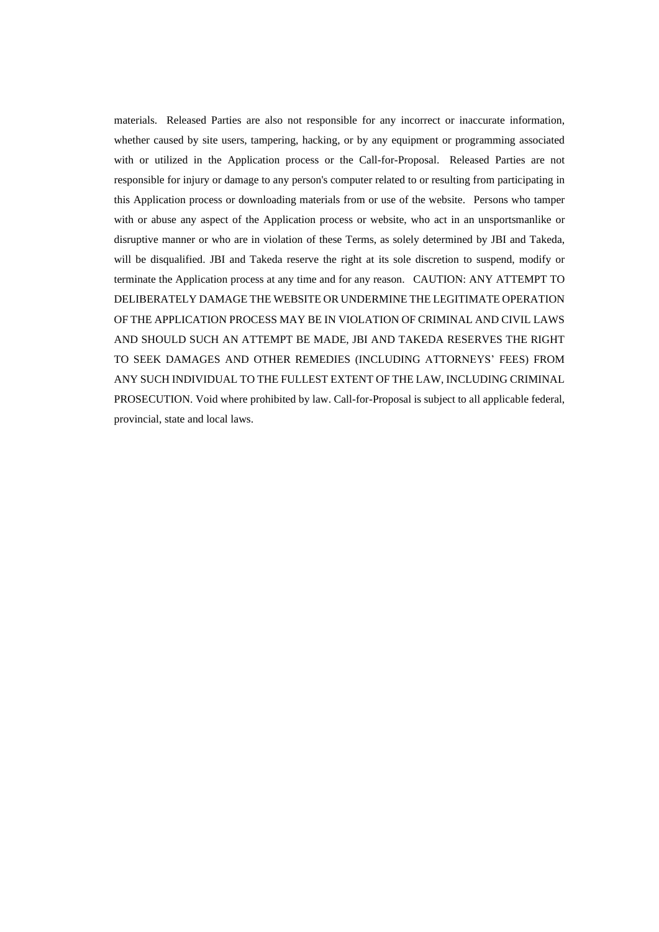materials. Released Parties are also not responsible for any incorrect or inaccurate information, whether caused by site users, tampering, hacking, or by any equipment or programming associated with or utilized in the Application process or the Call-for-Proposal. Released Parties are not responsible for injury or damage to any person's computer related to or resulting from participating in this Application process or downloading materials from or use of the website. Persons who tamper with or abuse any aspect of the Application process or website, who act in an unsportsmanlike or disruptive manner or who are in violation of these Terms, as solely determined by JBI and Takeda, will be disqualified. JBI and Takeda reserve the right at its sole discretion to suspend, modify or terminate the Application process at any time and for any reason. CAUTION: ANY ATTEMPT TO DELIBERATELY DAMAGE THE WEBSITE OR UNDERMINE THE LEGITIMATE OPERATION OF THE APPLICATION PROCESS MAY BE IN VIOLATION OF CRIMINAL AND CIVIL LAWS AND SHOULD SUCH AN ATTEMPT BE MADE, JBI AND TAKEDA RESERVES THE RIGHT TO SEEK DAMAGES AND OTHER REMEDIES (INCLUDING ATTORNEYS' FEES) FROM ANY SUCH INDIVIDUAL TO THE FULLEST EXTENT OF THE LAW, INCLUDING CRIMINAL PROSECUTION. Void where prohibited by law. Call-for-Proposal is subject to all applicable federal, provincial, state and local laws.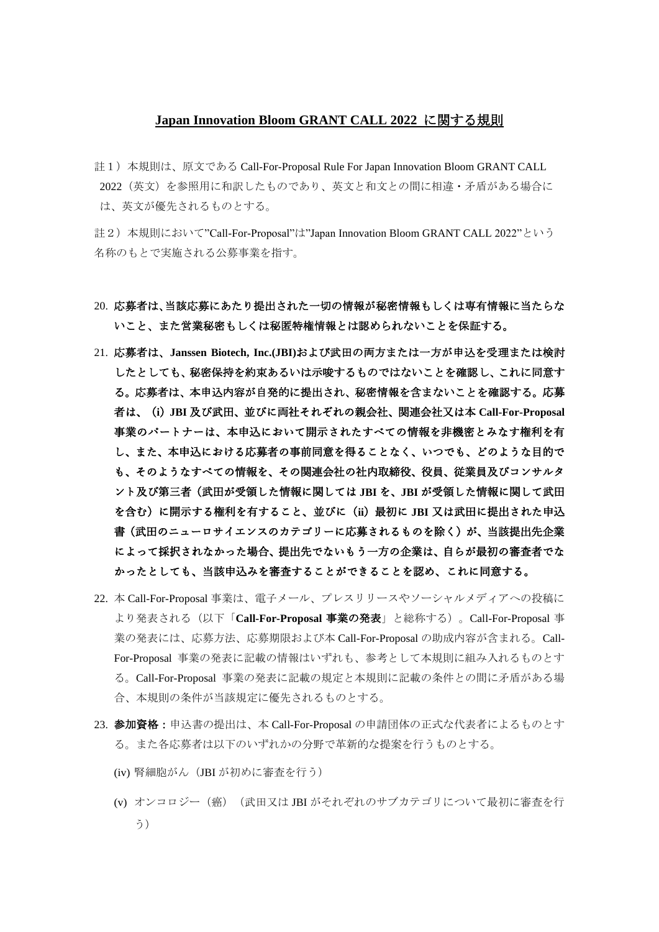### **Japan Innovation Bloom GRANT CALL 2022** に関する規則

註1)本規則は、原文である Call-For-Proposal Rule For Japan Innovation Bloom GRANT CALL 2022(英文)を参照用に和訳したものであり、英文と和文との間に相違・矛盾がある場合に は、英文が優先されるものとする。

註2)本規則において"Call-For-Proposal"は"Japan Innovation Bloom GRANT CALL 2022"という 名称のもとで実施される公募事業を指す。

- 20. 応募者は、当該応募にあたり提出された一切の情報が秘密情報もしくは専有情報に当たらな いこと、また営業秘密もしくは秘匿特権情報とは認められないことを保証する。
- 21. 応募者は、**Janssen Biotech, Inc.(JBI)**および武田の両方または一方が申込を受理または検討 したとしても、秘密保持を約束あるいは示唆するものではないことを確認し、これに同意す る。応募者は、本申込内容が自発的に提出され、秘密情報を含まないことを確認する。応募 者は、(**i**)**JBI** 及び武田、並びに両社それぞれの親会社、関連会社又は本 **Call-For-Proposal** 事業のパートナーは、本申込において開示されたすべての情報を非機密とみなす権利を有 し、また、本申込における応募者の事前同意を得ることなく、いつでも、どのような目的で も、そのようなすべての情報を、その関連会社の社内取締役、役員、従業員及びコンサルタ ント及び第三者(武田が受領した情報に関しては **JBI** を、**JBI** が受領した情報に関して武田 を含む)に開示する権利を有すること、並びに(**ii**)最初に **JBI** 又は武田に提出された申込 書(武田のニューロサイエンスのカテゴリーに応募されるものを除く)が、当該提出先企業 によって採択されなかった場合、提出先でないもう一方の企業は、自らが最初の審査者でな かったとしても、当該申込みを審査することができることを認め、これに同意する。
- 22. 本 Call-For-Proposal 事業は、電子メール、プレスリリースやソーシャルメディアへの投稿に より発表される(以下「**Call-For-Proposal** 事業の発表」と総称する)。Call-For-Proposal 事 業の発表には、応募方法、応募期限および本 Call-For-Proposal の助成内容が含まれる。Call-For-Proposal 事業の発表に記載の情報はいずれも、参考として本規則に組み入れるものとす る。Call-For-Proposal 事業の発表に記載の規定と本規則に記載の条件との間に矛盾がある場 合、本規則の条件が当該規定に優先されるものとする。
- 23. 参加資格:申込書の提出は、本 Call-For-Proposal の申請団体の正式な代表者によるものとす る。また各応募者は以下のいずれかの分野で革新的な提案を行うものとする。
	- (iv) 腎細胞がん (JBI が初めに審査を行う)
	- (v) オンコロジー(癌)(武田又は JBI がそれぞれのサブカテゴリについて最初に審査を行 う)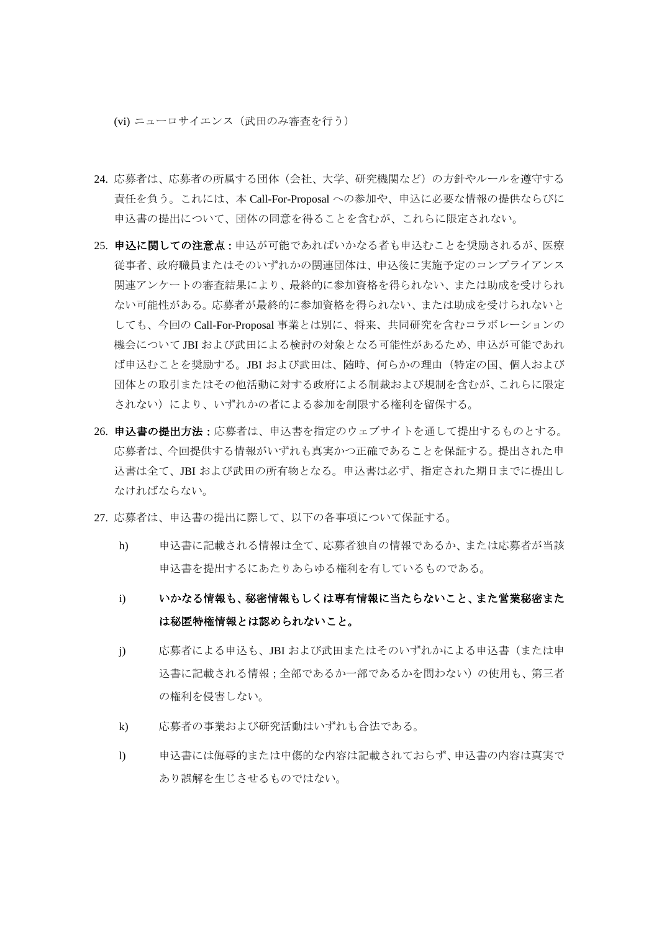(vi) ニューロサイエンス(武田のみ審査を行う)

- 24. 応募者は、応募者の所属する団体(会社、大学、研究機関など)の方針やルールを遵守する 責任を負う。これには、本 Call-For-Proposal への参加や、申込に必要な情報の提供ならびに 申込書の提出について、団体の同意を得ることを含むが、これらに限定されない。
- 25. 申込に関しての注意点:申込が可能であればいかなる者も申込むことを奨励されるが、医療 従事者、政府職員またはそのいずれかの関連団体は、申込後に実施予定のコンプライアンス 関連アンケートの審査結果により、最終的に参加資格を得られない、または助成を受けられ ない可能性がある。応募者が最終的に参加資格を得られない、または助成を受けられないと しても、今回の Call-For-Proposal 事業とは別に、将来、共同研究を含むコラボレーションの 機会について JBI および武田による検討の対象となる可能性があるため、申込が可能であれ ば申込むことを奨励する。JBI および武田は、随時、何らかの理由(特定の国、個人および 団体との取引またはその他活動に対する政府による制裁および規制を含むが、これらに限定 されない)により、いずれかの者による参加を制限する権利を留保する。
- 26. 申込書の提出方法:応募者は、申込書を指定のウェブサイトを通して提出するものとする。 応募者は、今回提供する情報がいずれも真実かつ正確であることを保証する。提出された申 込書は全て、JBI および武田の所有物となる。申込書は必ず、指定された期日までに提出し なければならない。
- 27. 応募者は、申込書の提出に際して、以下の各事項について保証する。
	- h) 申込書に記載される情報は全て、応募者独自の情報であるか、または応募者が当該 申込書を提出するにあたりあらゆる権利を有しているものである。
	- i) いかなる情報も、秘密情報もしくは専有情報に当たらないこと、また営業秘密また は秘匿特権情報とは認められないこと。
	- j) 応募者による申込も、JBI および武田またはそのいずれかによる申込書(または申 込書に記載される情報;全部であるか一部であるかを問わない)の使用も、第三者 の権利を侵害しない。
	- k) 応募者の事業および研究活動はいずれも合法である。
	- l) 申込書には侮辱的または中傷的な内容は記載されておらず、申込書の内容は真実で あり誤解を生じさせるものではない。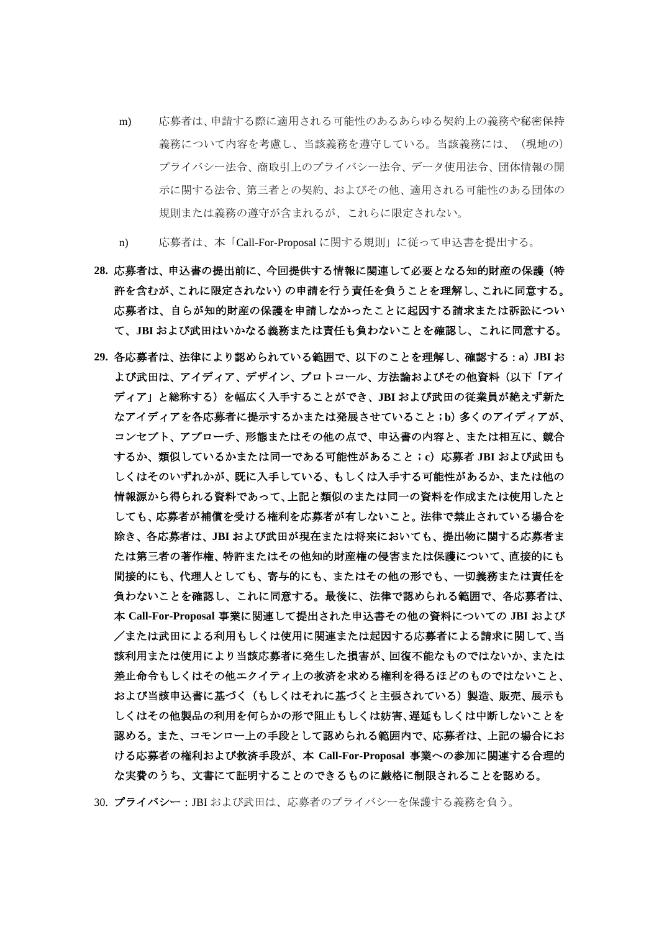- m) 応募者は、申請する際に適用される可能性のあるあらゆる契約上の義務や秘密保持 義務について内容を考慮し、当該義務を遵守している。当該義務には、(現地の) プライバシー法令、商取引上のプライバシー法令、データ使用法令、団体情報の開 示に関する法令、第三者との契約、およびその他、適用される可能性のある団体の 規則または義務の遵守が含まれるが、これらに限定されない。
- n) 応募者は、本「Call-For-Proposal に関する規則」に従って申込書を提出する。
- **28.** 応募者は、申込書の提出前に、今回提供する情報に関連して必要となる知的財産の保護(特 許を含むが、これに限定されない)の申請を行う責任を負うことを理解し、これに同意する。 応募者は、自らが知的財産の保護を申請しなかったことに起因する請求または訴訟につい て、**JBI** および武田はいかなる義務または責任も負わないことを確認し、これに同意する。
- **29.** 各応募者は、法律により認められている範囲で、以下のことを理解し、確認する:**a**)**JBI** お よび武田は、アイディア、デザイン、プロトコール、方法論およびその他資料(以下「アイ ディア」と総称する)を幅広く入手することができ、**JBI** および武田の従業員が絶えず新た なアイディアを各応募者に提示するかまたは発展させていること;**b**)多くのアイディアが、 コンセプト、アプローチ、形態またはその他の点で、申込書の内容と、または相互に、競合 するか、類似しているかまたは同一である可能性があること;**c**)応募者 **JBI** および武田も しくはそのいずれかが、既に入手している、もしくは入手する可能性があるか、または他の 情報源から得られる資料であって、上記と類似のまたは同一の資料を作成または使用したと しても、応募者が補償を受ける権利を応募者が有しないこと。法律で禁止されている場合を 除き、各応募者は、**JBI** および武田が現在または将来においても、提出物に関する応募者ま たは第三者の著作権、特許またはその他知的財産権の侵害または保護について、直接的にも 間接的にも、代理人としても、寄与的にも、またはその他の形でも、一切義務または責任を 負わないことを確認し、これに同意する。最後に、法律で認められる範囲で、各応募者は、 本 **Call-For-Proposal** 事業に関連して提出された申込書その他の資料についての **JBI** および /または武田による利用もしくは使用に関連または起因する応募者による請求に関して、当 該利用または使用により当該応募者に発生した損害が、回復不能なものではないか、または 差止命令もしくはその他エクイティ上の救済を求める権利を得るほどのものではないこと、 および当該申込書に基づく(もしくはそれに基づくと主張されている)製造、販売、展示も しくはその他製品の利用を何らかの形で阻止もしくは妨害、遅延もしくは中断しないことを 認める。また、コモンロー上の手段として認められる範囲内で、応募者は、上記の場合にお ける応募者の権利および救済手段が、本 **Call-For-Proposal** 事業への参加に関連する合理的 な実費のうち、文書にて証明することのできるものに厳格に制限されることを認める。

30. プライバシー:JBI および武田は、応募者のプライバシーを保護する義務を負う。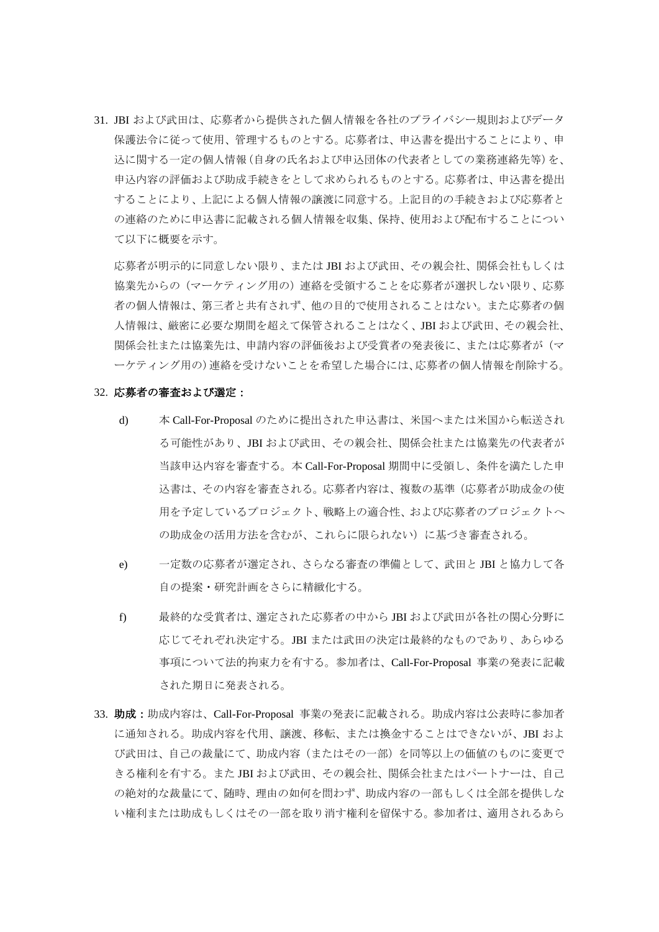31. JBI および武田は、応募者から提供された個人情報を各社のプライバシー規則およびデータ 保護法令に従って使用、管理するものとする。応募者は、申込書を提出することにより、申 込に関する一定の個人情報(自身の氏名および申込団体の代表者としての業務連絡先等)を、 申込内容の評価および助成手続きをとして求められるものとする。応募者は、申込書を提出 することにより、上記による個人情報の譲渡に同意する。上記目的の手続きおよび応募者と の連絡のために申込書に記載される個人情報を収集、保持、使用および配布することについ て以下に概要を示す。

応募者が明示的に同意しない限り、または JBI および武田、その親会社、関係会社もしくは 協業先からの(マーケティング用の)連絡を受領することを応募者が選択しない限り、応募 者の個人情報は、第三者と共有されず、他の目的で使用されることはない。また応募者の個 人情報は、厳密に必要な期間を超えて保管されることはなく、JBI および武田、その親会社、 関係会社または協業先は、申請内容の評価後および受賞者の発表後に、または応募者が(マ ーケティング用の)連絡を受けないことを希望した場合には、応募者の個人情報を削除する。

#### 32. 応募者の審査および選定:

- d) 本 Call-For-Proposal のために提出された申込書は、米国へまたは米国から転送され る可能性があり、JBI および武田、その親会社、関係会社または協業先の代表者が 当該申込内容を審査する。本 Call-For-Proposal 期間中に受領し、条件を満たした申 込書は、その内容を審査される。応募者内容は、複数の基準(応募者が助成金の使 用を予定しているプロジェクト、戦略上の適合性、および応募者のプロジェクトへ の助成金の活用方法を含むが、これらに限られない)に基づき審査される。
- e) 一定数の応募者が選定され、さらなる審査の準備として、武田と JBI と協力して各 自の提案・研究計画をさらに精緻化する。
- f) 最終的な受賞者は、選定された応募者の中から JBI および武田が各社の関心分野に 応じてそれぞれ決定する。JBI または武田の決定は最終的なものであり、あらゆる 事項について法的拘束力を有する。参加者は、Call-For-Proposal 事業の発表に記載 された期日に発表される。
- 33. 助成:助成内容は、Call-For-Proposal 事業の発表に記載される。助成内容は公表時に参加者 に通知される。助成内容を代用、譲渡、移転、または換金することはできないが、JBI およ び武田は、自己の裁量にて、助成内容(またはその一部)を同等以上の価値のものに変更で きる権利を有する。また JBI および武田、その親会社、関係会社またはパートナーは、自己 の絶対的な裁量にて、随時、理由の如何を問わず、助成内容の一部もしくは全部を提供しな い権利または助成もしくはその一部を取り消す権利を留保する。参加者は、適用されるあら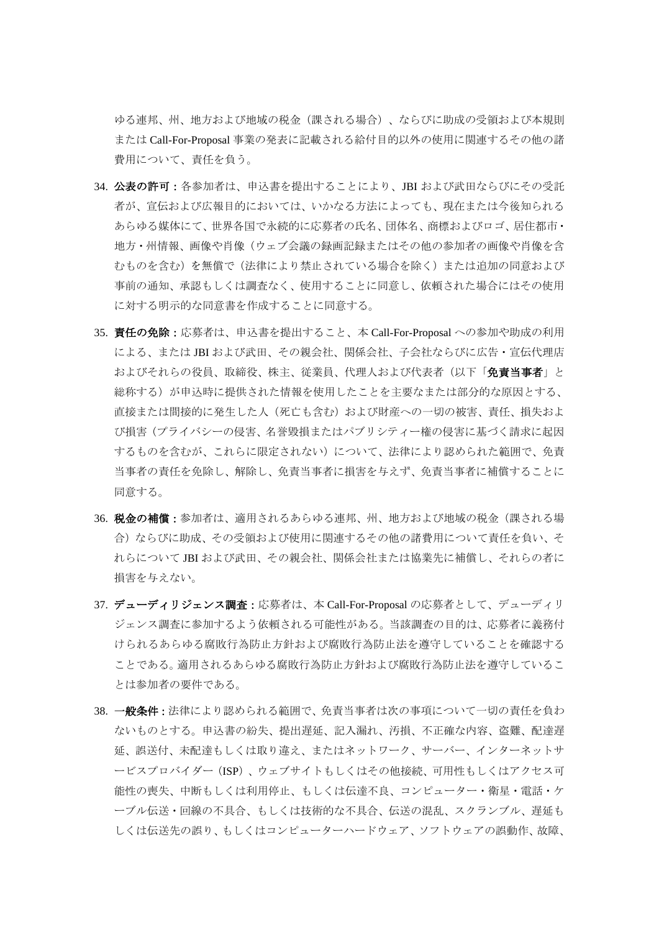ゆる連邦、州、地方および地域の税金(課される場合)、ならびに助成の受領および本規則 または Call-For-Proposal 事業の発表に記載される給付目的以外の使用に関連するその他の諸 費用について、責任を負う。

- 34. 公表の許可:各参加者は、申込書を提出することにより、JBI および武田ならびにその受託 者が、宣伝および広報目的においては、いかなる方法によっても、現在または今後知られる あらゆる媒体にて、世界各国で永続的に応募者の氏名、団体名、商標およびロゴ、居住都市・ 地方・州情報、画像や肖像(ウェブ会議の録画記録またはその他の参加者の画像や肖像を含 むものを含む)を無償で(法律により禁止されている場合を除く)または追加の同意および 事前の通知、承認もしくは調査なく、使用することに同意し、依頼された場合にはその使用 に対する明示的な同意書を作成することに同意する。
- 35. 責任の免除:応募者は、申込書を提出すること、本 Call-For-Proposal への参加や助成の利用 による、または JBI および武田、その親会社、関係会社、子会社ならびに広告・宣伝代理店 およびそれらの役員、取締役、株主、従業員、代理人および代表者(以下「免責当事者」と 総称する)が申込時に提供された情報を使用したことを主要なまたは部分的な原因とする、 直接または間接的に発生した人(死亡も含む)および財産への一切の被害、責任、損失およ び損害(プライバシーの侵害、名誉毀損またはパブリシティー権の侵害に基づく請求に起因 するものを含むが、これらに限定されない)について、法律により認められた範囲で、免責 当事者の責任を免除し、解除し、免責当事者に損害を与えず、免責当事者に補償することに 同意する。
- 36. 税金の補償:参加者は、適用されるあらゆる連邦、州、地方および地域の税金(課される場 合)ならびに助成、その受領および使用に関連するその他の諸費用について責任を負い、そ れらについて JBI および武田、その親会社、関係会社または協業先に補償し、それらの者に 損害を与えない。
- 37. デューディリジェンス調査:応募者は、本 Call-For-Proposal の応募者として、デューディリ ジェンス調査に参加するよう依頼される可能性がある。当該調査の目的は、応募者に義務付 けられるあらゆる腐敗行為防止方針および腐敗行為防止法を遵守していることを確認する ことである。適用されるあらゆる腐敗行為防止方針および腐敗行為防止法を遵守しているこ とは参加者の要件である。
- 38. 一般条件:法律により認められる範囲で、免責当事者は次の事項について一切の責任を負わ ないものとする。申込書の紛失、提出遅延、記入漏れ、汚損、不正確な内容、盗難、配達遅 延、誤送付、未配達もしくは取り違え、またはネットワーク、サーバー、インターネットサ ービスプロバイダー(ISP)、ウェブサイトもしくはその他接続、可用性もしくはアクセス可 能性の喪失、中断もしくは利用停止、もしくは伝達不良、コンピューター・衛星・電話・ケ ーブル伝送・回線の不具合、もしくは技術的な不具合、伝送の混乱、スクランブル、遅延も しくは伝送先の誤り、もしくはコンピューターハードウェア、ソフトウェアの誤動作、故障、